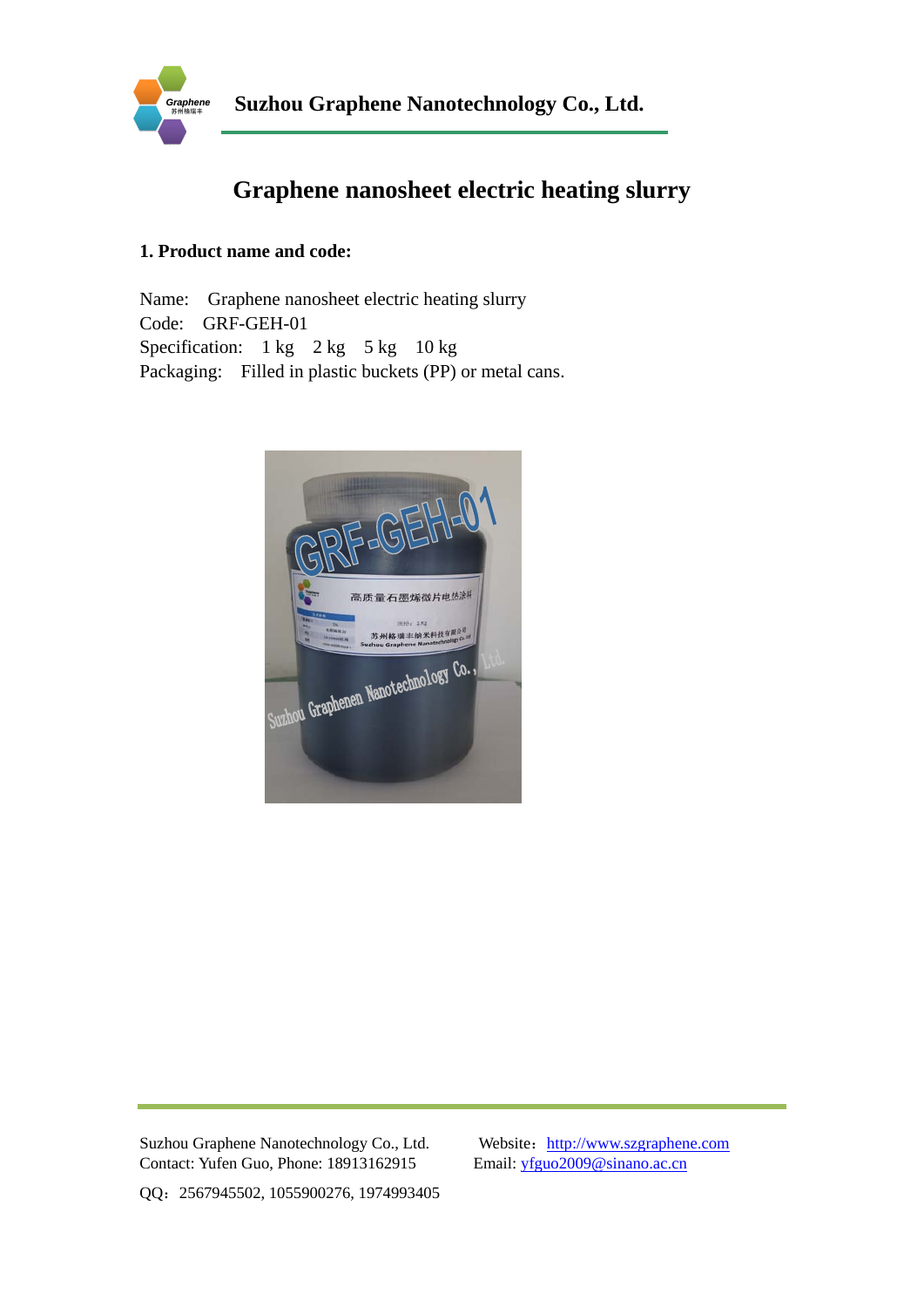

# **Graphene nanosheet electric heating slurry**

## **1. Product name and code:**

Name: Graphene nanosheet electric heating slurry Code: GRF-GEH-01 Specification:  $1 \text{ kg}$   $2 \text{ kg}$   $5 \text{ kg}$   $10 \text{ kg}$ Packaging: Filled in plastic buckets (PP) or metal cans.



Suzhou Graphene Nanotechnology Co., Ltd. Website: http://www.szgraphene.com Contact: Yufen Guo, Phone: 18913162915 Email: yfguo2009@sinano.ac.cn

QQ:2567945502, 1055900276, 1974993405